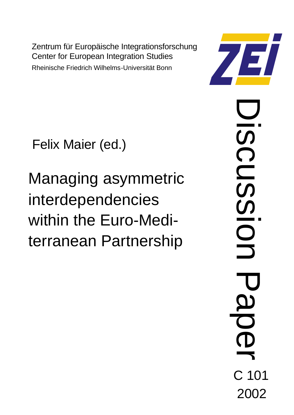Zentrum für Europäische Integrationsforschung Center for European Integration Studies Rheinische Friedrich Wilhelms-Universität Bonn

Felix Maier (ed.)

Managing asymmetric interdependencies within the Euro-Mediterranean Partnership

Discussion Paper **SCU S** L C 101 2002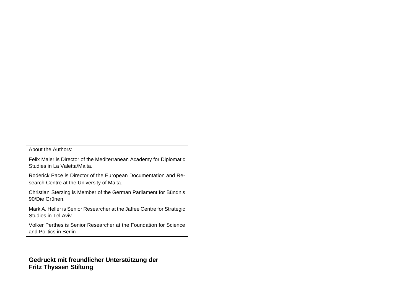About the Authors:

Felix Maier is Director of the Mediterranean Academy for Diplomatic Studies in La Valetta/Malta.

Roderick Pace is Director of the European Documentation and Research Centre at the University of Malta.

Christian Sterzing is Member of the German Parliament for Bündnis 90/Die Grünen.

Mark A. Heller is Senior Researcher at the Jaffee Centre for Strategic Studies in Tel Aviv.

Volker Perthes is Senior Researcher at the Foundation for Science and Politics in Berlin

**Gedruckt mit freundlicher Unterstützung der Fritz Thyssen Stiftung**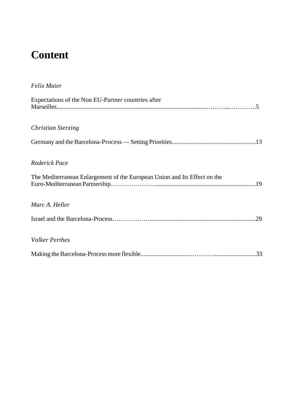# **Content**

| <b>Felix Maier</b>                                                        |
|---------------------------------------------------------------------------|
| Expectations of the Non EU-Partner countries after                        |
| Christian Sterzing                                                        |
|                                                                           |
| Roderick Pace                                                             |
| The Mediterranean Enlargement of the European Union and Its Effect on the |
| Marc A. Heller                                                            |
| .29                                                                       |
| <b>Volker Perthes</b>                                                     |
|                                                                           |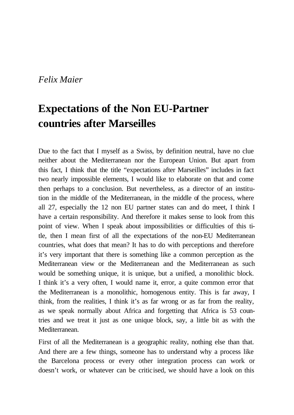### *Felix Maier*

## **Expectations of the Non EU-Partner countries after Marseilles**

Due to the fact that I myself as a Swiss, by definition neutral, have no clue neither about the Mediterranean nor the European Union. But apart from this fact, I think that the title "expectations after Marseilles" includes in fact two nearly impossible elements, I would like to elaborate on that and come then perhaps to a conclusion. But nevertheless, as a director of an institution in the middle of the Mediterranean, in the middle of the process, where all 27, especially the 12 non EU partner states can and do meet, I think I have a certain responsibility. And therefore it makes sense to look from this point of view. When I speak about impossibilities or difficulties of this title, then I mean first of all the expectations of the non-EU Mediterranean countries, what does that mean? It has to do with perceptions and therefore it's very important that there is something like a common perception as the Mediterranean view or the Mediterranean and the Mediterranean as such would be something unique, it is unique, but a unified, a monolithic block. I think it's a very often, I would name it, error, a quite common error that the Mediterranean is a monolithic, homogenous entity. This is far away, I think, from the realities, I think it's as far wrong or as far from the reality, as we speak normally about Africa and forgetting that Africa is 53 countries and we treat it just as one unique block, say, a little bit as with the Mediterranean.

First of all the Mediterranean is a geographic reality, nothing else than that. And there are a few things, someone has to understand why a process like the Barcelona process or every other integration process can work or doesn't work, or whatever can be criticised, we should have a look on this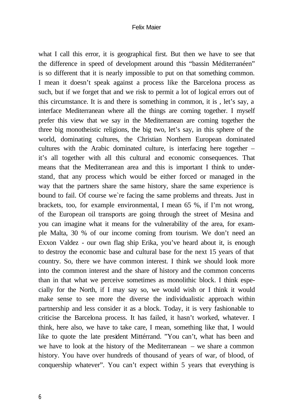#### Felix Maier

what I call this error, it is geographical first. But then we have to see that the difference in speed of development around this "bassin Méditerranéen" is so different that it is nearly impossible to put on that something common. I mean it doesn't speak against a process like the Barcelona process as such, but if we forget that and we risk to permit a lot of logical errors out of this circumstance. It is and there is something in common, it is , let's say, a interface Mediterranean where all the things are coming together. I myself prefer this view that we say in the Mediterranean are coming together the three big monotheistic religions, the big two, let's say, in this sphere of the world, dominating cultures, the Christian Northern European dominated cultures with the Arabic dominated culture, is interfacing here together – it's all together with all this cultural and economic consequences. That means that the Mediterranean area and this is important I think to understand, that any process which would be either forced or managed in the way that the partners share the same history, share the same experience is bound to fail. Of course we`re facing the same problems and threats. Just in brackets, too, for example environmental, I mean 65 %, if I'm not wrong, of the European oil transports are going through the street of Mesina and you can imagine what it means for the vulnerability of the area, for example Malta, 30 % of our income coming from tourism. We don't need an Exxon Valdez - our own flag ship Erika, you've heard about it, is enough to destroy the economic base and cultural base for the next 15 years of that country. So, there we have common interest. I think we should look more into the common interest and the share of history and the common concerns than in that what we perceive sometimes as monolithic block. I think especially for the North, if I may say so, we would wish or I think it would make sense to see more the diverse the individualistic approach within partnership and less consider it as a block. Today, it is very fashionable to criticise the Barcelona process. It has failed, it hasn't worked, whatever. I think, here also, we have to take care, I mean, something like that, I would like to quote the late president Mittérrand. "You can't, what has been and we have to look at the history of the Mediterranean – we share a common history. You have over hundreds of thousand of years of war, of blood, of conquership whatever". You can't expect within 5 years that everything is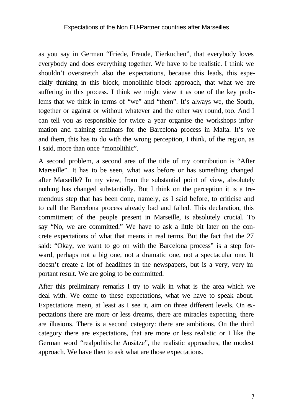#### Expectations of the Non EU-Partner countries after Marseilles

as you say in German "Friede, Freude, Eierkuchen", that everybody loves everybody and does everything together. We have to be realistic. I think we shouldn't overstretch also the expectations, because this leads, this especially thinking in this block, monolithic block approach, that what we are suffering in this process. I think we might view it as one of the key problems that we think in terms of "we" and "them". It's always we, the South, together or against or without whatever and the other way round, too. And I can tell you as responsible for twice a year organise the workshops information and training seminars for the Barcelona process in Malta. It's we and them, this has to do with the wrong perception, I think, of the region, as I said, more than once "monolithic".

A second problem, a second area of the title of my contribution is "After Marseille". It has to be seen, what was before or has something changed after Marseille? In my view, from the substantial point of view, absolutely nothing has changed substantially. But I think on the perception it is a tremendous step that has been done, namely, as I said before, to criticise and to call the Barcelona process already bad and failed. This declaration, this commitment of the people present in Marseille, is absolutely crucial. To say "No, we are committed." We have to ask a little bit later on the concrete expectations of what that means in real terms. But the fact that the 27 said: "Okay, we want to go on with the Barcelona process" is a step forward, perhaps not a big one, not a dramatic one, not a spectacular one. It doesn't create a lot of headlines in the newspapers, but is a very, very important result. We are going to be committed.

After this preliminary remarks I try to walk in what is the area which we deal with. We come to these expectations, what we have to speak about. Expectations mean, at least as I see it, aim on three different levels. On expectations there are more or less dreams, there are miracles expecting, there are illusions. There is a second category: there are ambitions. On the third category there are expectations, that are more or less realistic or I like the German word "realpolitische Ansätze", the realistic approaches, the modest approach. We have then to ask what are those expectations.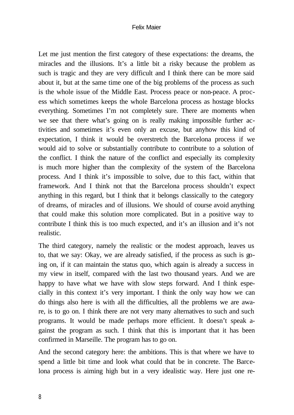#### Felix Maier

Let me just mention the first category of these expectations: the dreams, the miracles and the illusions. It's a little bit a risky because the problem as such is tragic and they are very difficult and I think there can be more said about it, but at the same time one of the big problems of the process as such is the whole issue of the Middle East. Process peace or non-peace. A process which sometimes keeps the whole Barcelona process as hostage blocks everything. Sometimes I'm not completely sure. There are moments when we see that there what's going on is really making impossible further activities and sometimes it's even only an excuse, but anyhow this kind of expectation, I think it would be overstretch the Barcelona process if we would aid to solve or substantially contribute to contribute to a solution of the conflict. I think the nature of the conflict and especially its complexity is much more higher than the complexity of the system of the Barcelona process. And I think it's impossible to solve, due to this fact, within that framework. And I think not that the Barcelona process shouldn't expect anything in this regard, but I think that it belongs classically to the category of dreams, of miracles and of illusions. We should of course avoid anything that could make this solution more complicated. But in a positive way to contribute I think this is too much expected, and it's an illusion and it's not realistic.

The third category, namely the realistic or the modest approach, leaves us to, that we say: Okay, we are already satisfied, if the process as such is going on, if it can maintain the status quo, which again is already a success in my view in itself, compared with the last two thousand years. And we are happy to have what we have with slow steps forward. And I think especially in this context it's very important. I think the only way how we can do things also here is with all the difficulties, all the problems we are aware, is to go on. I think there are not very many alternatives to such and such programs. It would be made perhaps more efficient. It doesn't speak against the program as such. I think that this is important that it has been confirmed in Marseille. The program has to go on.

And the second category here: the ambitions. This is that where we have to spend a little bit time and look what could that be in concrete. The Barcelona process is aiming high but in a very idealistic way. Here just one re-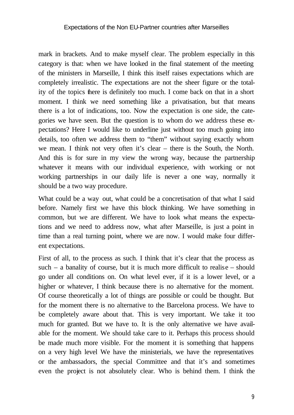#### Expectations of the Non EU-Partner countries after Marseilles

mark in brackets. And to make myself clear. The problem especially in this category is that: when we have looked in the final statement of the meeting of the ministers in Marseille, I think this itself raises expectations which are completely irrealistic. The expectations are not the sheer figure or the totality of the topics there is definitely too much. I come back on that in a short moment. I think we need something like a privatisation, but that means there is a lot of indications, too. Now the expectation is one side, the categories we have seen. But the question is to whom do we address these expectations? Here I would like to underline just without too much going into details, too often we address them to "them" without saying exactly whom we mean. I think not very often it's clear – there is the South, the North. And this is for sure in my view the wrong way, because the partnership whatever it means with our individual experience, with working or not working partnerships in our daily life is never a one way, normally it should be a two way procedure.

What could be a way out, what could be a concretisation of that what I said before. Namely first we have this block thinking. We have something in common, but we are different. We have to look what means the expectations and we need to address now, what after Marseille, is just a point in time than a real turning point, where we are now. I would make four different expectations.

First of all, to the process as such. I think that it's clear that the process as such – a banality of course, but it is much more difficult to realise – should go under all conditions on. On what level ever, if it is a lower level, or a higher or whatever, I think because there is no alternative for the moment. Of course theoretically a lot of things are possible or could be thought. But for the moment there is no alternative to the Barcelona process. We have to be completely aware about that. This is very important. We take it too much for granted. But we have to. It is the only alternative we have available for the moment. We should take care to it. Perhaps this process should be made much more visible. For the moment it is something that happens on a very high level We have the ministerials, we have the representatives or the ambassadors, the special Committee and that it's and sometimes even the project is not absolutely clear. Who is behind them. I think the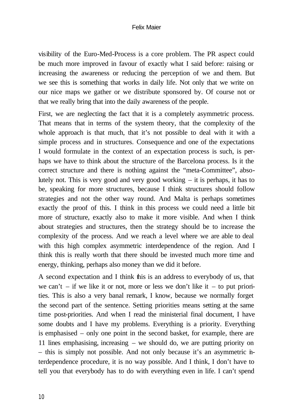#### Felix Maier

visibility of the Euro-Med-Process is a core problem. The PR aspect could be much more improved in favour of exactly what I said before: raising or increasing the awareness or reducing the perception of we and them. But we see this is something that works in daily life. Not only that we write on our nice maps we gather or we distribute sponsored by. Of course not or that we really bring that into the daily awareness of the people.

First, we are neglecting the fact that it is a completely asymmetric process. That means that in terms of the system theory, that the complexity of the whole approach is that much, that it's not possible to deal with it with a simple process and in structures. Consequence and one of the expectations I would formulate in the context of an expectation process is such, is perhaps we have to think about the structure of the Barcelona process. Is it the correct structure and there is nothing against the "meta-Committee", absolutely not. This is very good and very good working  $-$  it is perhaps, it has to be, speaking for more structures, because I think structures should follow strategies and not the other way round. And Malta is perhaps sometimes exactly the proof of this. I think in this process we could need a little bit more of structure, exactly also to make it more visible. And when I think about strategies and structures, then the strategy should be to increase the complexity of the process. And we reach a level where we are able to deal with this high complex asymmetric interdependence of the region. And I think this is really worth that there should be invested much more time and energy, thinking, perhaps also money than we did it before.

A second expectation and I think this is an address to everybody of us, that we can't – if we like it or not, more or less we don't like it – to put priorities. This is also a very banal remark, I know, because we normally forget the second part of the sentence. Setting priorities means setting at the same time post-priorities. And when I read the ministerial final document, I have some doubts and I have my problems. Everything is a priority. Everything is emphasised – only one point in the second basket, for example, there are 11 lines emphasising, increasing – we should do, we are putting priority on – this is simply not possible. And not only because it's an asymmetric interdependence procedure, it is no way possible. And I think, I don't have to tell you that everybody has to do with everything even in life. I can't spend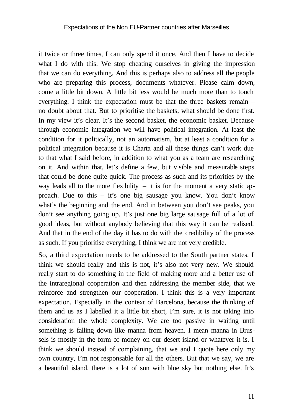it twice or three times, I can only spend it once. And then I have to decide what I do with this. We stop cheating ourselves in giving the impression that we can do everything. And this is perhaps also to address all the people who are preparing this process, documents whatever. Please calm down, come a little bit down. A little bit less would be much more than to touch everything. I think the expectation must be that the three baskets remain – no doubt about that. But to prioritise the baskets, what should be done first. In my view it's clear. It's the second basket, the economic basket. Because through economic integration we will have political integration. At least the condition for it politically, not an automatism, but at least a condition for a political integration because it is Charta and all these things can't work due to that what I said before, in addition to what you as a team are researching on it. And within that, let's define a few, but visible and measurable steps that could be done quite quick. The process as such and its priorities by the way leads all to the more flexibility – it is for the moment a very static approach. Due to this – it's one big sausage you know. You don't know what's the beginning and the end. And in between you don't see peaks, you don't see anything going up. It's just one big large sausage full of a lot of good ideas, but without anybody believing that this way it can be realised. And that in the end of the day it has to do with the credibility of the process as such. If you prioritise everything, I think we are not very credible.

So, a third expectation needs to be addressed to the South partner states. I think we should really and this is not, it's also not very new. We should really start to do something in the field of making more and a better use of the intraregional cooperation and then addressing the member side, that we reinforce and strengthen our cooperation. I think this is a very important expectation. Especially in the context of Barcelona, because the thinking of them and us as I labelled it a little bit short, I'm sure, it is not taking into consideration the whole complexity. We are too passive in waiting until something is falling down like manna from heaven. I mean manna in Brussels is mostly in the form of money on our desert island or whatever it is. I think we should instead of complaining, that we and I quote here only my own country, I'm not responsable for all the others. But that we say, we are a beautiful island, there is a lot of sun with blue sky but nothing else. It's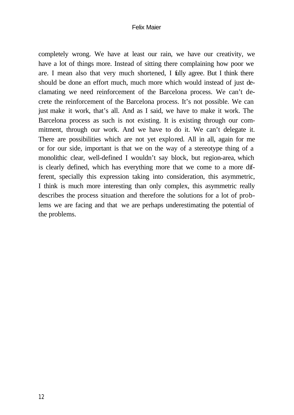#### Felix Maier

completely wrong. We have at least our rain, we have our creativity, we have a lot of things more. Instead of sitting there complaining how poor we are. I mean also that very much shortened, I fully agree. But I think there should be done an effort much, much more which would instead of just declamating we need reinforcement of the Barcelona process. We can't decrete the reinforcement of the Barcelona process. It's not possible. We can just make it work, that's all. And as I said, we have to make it work. The Barcelona process as such is not existing. It is existing through our commitment, through our work. And we have to do it. We can't delegate it. There are possibilities which are not yet explored. All in all, again for me or for our side, important is that we on the way of a stereotype thing of a monolithic clear, well-defined I wouldn't say block, but region-area, which is clearly defined, which has everything more that we come to a more different, specially this expression taking into consideration, this asymmetric, I think is much more interesting than only complex, this asymmetric really describes the process situation and therefore the solutions for a lot of problems we are facing and that we are perhaps underestimating the potential of the problems.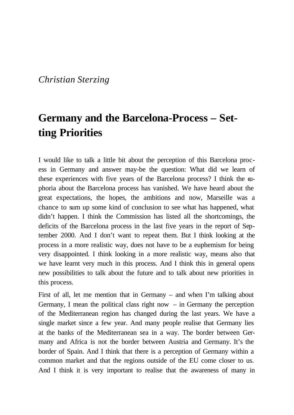## *Christian Sterzing*

## **Germany and the Barcelona-Process – Setting Priorities**

I would like to talk a little bit about the perception of this Barcelona process in Germany and answer may-be the question: What did we learn of these experiences with five years of the Barcelona process? I think the euphoria about the Barcelona process has vanished. We have heard about the great expectations, the hopes, the ambitions and now, Marseille was a chance to sum up some kind of conclusion to see what has happened, what didn't happen. I think the Commission has listed all the shortcomings, the deficits of the Barcelona process in the last five years in the report of September 2000. And I don't want to repeat them. But I think looking at the process in a more realistic way, does not have to be a euphemism for being very disappointed. I think looking in a more realistic way, means also that we have learnt very much in this process. And I think this in general opens new possibilities to talk about the future and to talk about new priorities in this process.

First of all, let me mention that in Germany – and when I'm talking about Germany, I mean the political class right now  $-$  in Germany the perception of the Mediterranean region has changed during the last years. We have a single market since a few year. And many people realise that Germany lies at the banks of the Mediterranean sea in a way. The border between Germany and Africa is not the border between Austria and Germany. It's the border of Spain. And I think that there is a perception of Germany within a common market and that the regions outside of the EU come closer to us. And I think it is very important to realise that the awareness of many in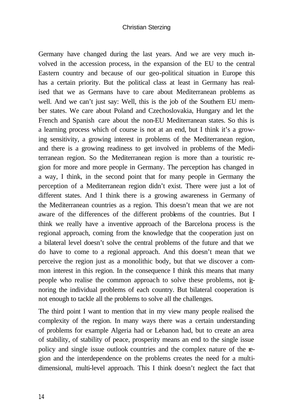#### Christian Sterzing

Germany have changed during the last years. And we are very much involved in the accession process, in the expansion of the EU to the central Eastern country and because of our geo-political situation in Europe this has a certain priority. But the political class at least in Germany has realised that we as Germans have to care about Mediterranean problems as well. And we can't just say: Well, this is the job of the Southern EU member states. We care about Poland and Czechoslovakia, Hungary and let the French and Spanish care about the non-EU Mediterranean states. So this is a learning process which of course is not at an end, but I think it's a growing sensitivity, a growing interest in problems of the Mediterranean region, and there is a growing readiness to get involved in problems of the Mediterranean region. So the Mediterranean region is more than a touristic region for more and more people in Germany. The perception has changed in a way, I think, in the second point that for many people in Germany the perception of a Mediterranean region didn't exist. There were just a lot of different states. And I think there is a growing awareness in Germany of the Mediterranean countries as a region. This doesn't mean that we are not aware of the differences of the different problems of the countries. But I think we really have a inventive approach of the Barcelona process is the regional approach, coming from the knowledge that the cooperation just on a bilateral level doesn't solve the central problems of the future and that we do have to come to a regional approach. And this doesn't mean that we perceive the region just as a monolithic body, but that we discover a common interest in this region. In the consequence I think this means that many people who realise the common approach to solve these problems, not ignoring the individual problems of each country. But bilateral cooperation is not enough to tackle all the problems to solve all the challenges.

The third point I want to mention that in my view many people realised the complexity of the region. In many ways there was a certain understanding of problems for example Algeria had or Lebanon had, but to create an area of stability, of stability of peace, prosperity means an end to the single issue policy and single issue outlook countries and the complex nature of the region and the interdependence on the problems creates the need for a multidimensional, multi-level approach. This I think doesn't neglect the fact that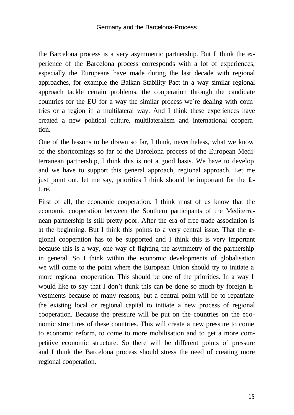the Barcelona process is a very asymmetric partnership. But I think the experience of the Barcelona process corresponds with a lot of experiences, especially the Europeans have made during the last decade with regional approaches, for example the Balkan Stability Pact in a way similar regional approach tackle certain problems, the cooperation through the candidate countries for the EU for a way the similar process we´re dealing with countries or a region in a multilateral way. And I think these experiences have created a new political culture, multilateralism and international cooperation.

One of the lessons to be drawn so far, I think, nevertheless, what we know of the shortcomings so far of the Barcelona process of the European Mediterranean partnership, I think this is not a good basis. We have to develop and we have to support this general approach, regional approach. Let me just point out, let me say, priorities I think should be important for the future.

First of all, the economic cooperation. I think most of us know that the economic cooperation between the Southern participants of the Mediterranean partnership is still pretty poor. After the era of free trade association is at the beginning. But I think this points to a very central issue. That the regional cooperation has to be supported and I think this is very important because this is a way, one way of fighting the asymmetry of the partnership in general. So I think within the economic developments of globalisation we will come to the point where the European Union should try to initiate a more regional cooperation. This should be one of the priorities. In a way I would like to say that I don't think this can be done so much by foreign investments because of many reasons, but a central point will be to repatriate the existing local or regional capital to initiate a new process of regional cooperation. Because the pressure will be put on the countries on the economic structures of these countries. This will create a new pressure to come to economic reform, to come to more mobilisation and to get a more competitive economic structure. So there will be different points of pressure and I think the Barcelona process should stress the need of creating more regional cooperation.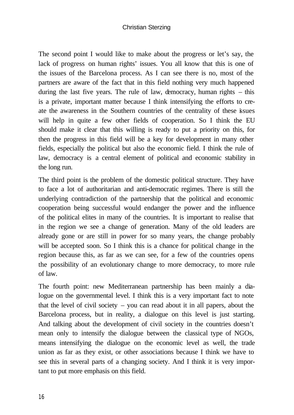#### Christian Sterzing

The second point I would like to make about the progress or let's say, the lack of progress on human rights' issues. You all know that this is one of the issues of the Barcelona process. As I can see there is no, most of the partners are aware of the fact that in this field nothing very much happened during the last five years. The rule of law, democracy, human rights – this is a private, important matter because I think intensifying the efforts to create the awareness in the Southern countries of the centrality of these issues will help in quite a few other fields of cooperation. So I think the EU should make it clear that this willing is ready to put a priority on this, for then the progress in this field will be a key for development in many other fields, especially the political but also the economic field. I think the rule of law, democracy is a central element of political and economic stability in the long run.

The third point is the problem of the domestic political structure. They have to face a lot of authoritarian and anti-democratic regimes. There is still the underlying contradiction of the partnership that the political and economic cooperation being successful would endanger the power and the influence of the political elites in many of the countries. It is important to realise that in the region we see a change of generation. Many of the old leaders are already gone or are still in power for so many years, the change probably will be accepted soon. So I think this is a chance for political change in the region because this, as far as we can see, for a few of the countries opens the possibility of an evolutionary change to more democracy, to more rule of law.

The fourth point: new Mediterranean partnership has been mainly a dialogue on the governmental level. I think this is a very important fact to note that the level of civil society – you can read about it in all papers, about the Barcelona process, but in reality, a dialogue on this level is just starting. And talking about the development of civil society in the countries doesn't mean only to intensify the dialogue between the classical type of NGOs, means intensifying the dialogue on the economic level as well, the trade union as far as they exist, or other associations because I think we have to see this in several parts of a changing society. And I think it is very important to put more emphasis on this field.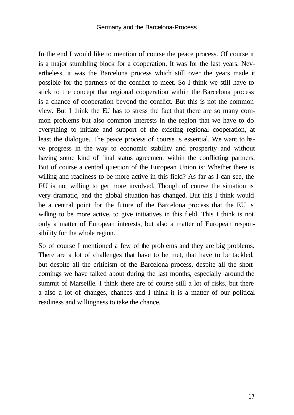In the end I would like to mention of course the peace process. Of course it is a major stumbling block for a cooperation. It was for the last years. Nevertheless, it was the Barcelona process which still over the years made it possible for the partners of the conflict to meet. So I think we still have to stick to the concept that regional cooperation within the Barcelona process is a chance of cooperation beyond the conflict. But this is not the common view. But I think the EU has to stress the fact that there are so many common problems but also common interests in the region that we have to do everything to initiate and support of the existing regional cooperation, at least the dialogue. The peace process of course is essential. We want to have progress in the way to economic stability and prosperity and without having some kind of final status agreement within the conflicting partners. But of course a central question of the European Union is: Whether there is willing and readiness to be more active in this field? As far as I can see, the EU is not willing to get more involved. Though of course the situation is very dramatic, and the global situation has changed. But this I think would be a central point for the future of the Barcelona process that the EU is willing to be more active, to give initiatives in this field. This I think is not only a matter of European interests, but also a matter of European responsibility for the whole region.

So of course I mentioned a few of the problems and they are big problems. There are a lot of challenges that have to be met, that have to be tackled, but despite all the criticism of the Barcelona process, despite all the shortcomings we have talked about during the last months, especially around the summit of Marseille. I think there are of course still a lot of risks, but there a also a lot of changes, chances and I think it is a matter of our political readiness and willingness to take the chance.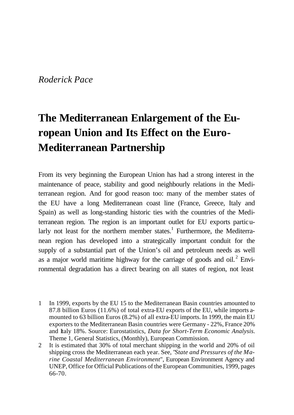### *Roderick Pace*

# **The Mediterranean Enlargement of the European Union and Its Effect on the Euro-Mediterranean Partnership**

From its very beginning the European Union has had a strong interest in the maintenance of peace, stability and good neighbourly relations in the Mediterranean region. And for good reason too: many of the member states of the EU have a long Mediterranean coast line (France, Greece, Italy and Spain) as well as long-standing historic ties with the countries of the Mediterranean region. The region is an important outlet for EU exports particularly not least for the northern member states.<sup>1</sup> Furthermore, the Mediterranean region has developed into a strategically important conduit for the supply of a substantial part of the Union's oil and petroleum needs as well as a major world maritime highway for the carriage of goods and oil. $2$  Environmental degradation has a direct bearing on all states of region, not least

- 1 In 1999, exports by the EU 15 to the Mediterranean Basin countries amounted to 87.8 billion Euros (11.6%) of total extra-EU exports of the EU, while imports amounted to 63 billion Euros (8.2%) of all extra-EU imports. In 1999, the main EU exporters to the Mediterranean Basin countries were Germany - 22%, France 20% and Italy 18%. Source: Eurostatistics, *Data for Short-Term Economic Analysis.* Theme 1, General Statistics, (Monthly), European Commission.
- 2 It is estimated that 30% of total merchant shipping in the world and 20% of oil shipping cross the Mediterranean each year. See, "*State and Pressures of the Marine Coastal Mediterranean Environment*", European Environment Agency and UNEP, Office for Official Publications of the European Communities, 1999, pages 66-70.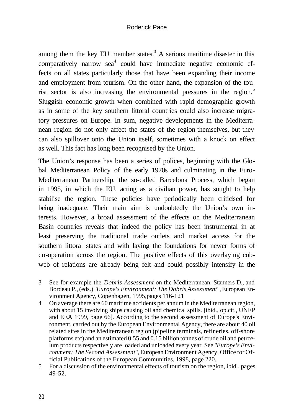#### Roderick Pace

among them the key EU member states.<sup>3</sup> A serious maritime disaster in this comparatively narrow  $\text{sea}^4$  could have immediate negative economic effects on all states particularly those that have been expanding their income and employment from tourism. On the other hand, the expansion of the tourist sector is also increasing the environmental pressures in the region.<sup>5</sup> Sluggish economic growth when combined with rapid demographic growth as in some of the key southern littoral countries could also increase migratory pressures on Europe. In sum, negative developments in the Mediterranean region do not only affect the states of the region themselves, but they can also spillover onto the Union itself, sometimes with a knock on effect as well. This fact has long been recognised by the Union.

The Union's response has been a series of polices, beginning with the Global Mediterranean Policy of the early 1970s and culminating in the Euro-Mediterranean Partnership, the so-called Barcelona Process, which began in 1995, in which the EU, acting as a civilian power, has sought to help stabilise the region. These policies have periodically been criticised for being inadequate. Their main aim is undoubtedly the Union's own interests. However, a broad assessment of the effects on the Mediterranean Basin countries reveals that indeed the policy has been instrumental in at least preserving the traditional trade outlets and market access for the southern littoral states and with laying the foundations for newer forms of co-operation across the region. The positive effects of this overlaying cobweb of relations are already being felt and could possibly intensify in the

- 3 See for example the *Dobris Assessment* on the Mediterranean: Stanners D., and Bordeau P., (eds.) "*Europe's Environment: The Dobris Assessment*", European Environment Agency, Copenhagen, 1995,pages 116-121
- 4 On average there are 60 maritime accidents per annum in the Mediterranean region, with about 15 involving ships causing oil and chemical spills. [ibid., op.cit., UNEP and EEA 1999, page 66]. According to the second assessment of Europe's Environment, carried out by the European Environmental Agency, there are about 40 oil related sites in the Mediterranean region (pipeline terminals, refineries, off-shore platforms etc) and an estimated 0.55 and 0.15 billion tonnes of crude oil and petroelum products respectively are loaded and unloaded every year. See "*Europe's Environment: The Second Assessment*", European Environment Agency, Office for Official Publications of the European Communities, 1998, page 220.
- 5 For a discussion of the environmental effects of tourism on the region, ibid., pages 49-52.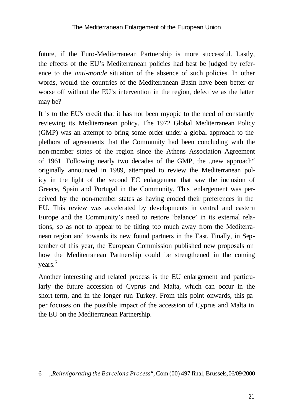future, if the Euro-Mediterranean Partnership is more successful. Lastly, the effects of the EU's Mediterranean policies had best be judged by reference to the *anti-monde* situation of the absence of such policies. In other words, would the countries of the Mediterranean Basin have been better or worse off without the EU's intervention in the region, defective as the latter may be?

It is to the EU's credit that it has not been myopic to the need of constantly reviewing its Mediterranean policy. The 1972 Global Mediterranean Policy (GMP) was an attempt to bring some order under a global approach to the plethora of agreements that the Community had been concluding with the non-member states of the region since the Athens Association Agreement of 1961. Following nearly two decades of the GMP, the "new approach" originally announced in 1989, attempted to review the Mediterranean policy in the light of the second EC enlargement that saw the inclusion of Greece, Spain and Portugal in the Community. This enlargement was perceived by the non-member states as having eroded their preferences in the EU. This review was accelerated by developments in central and eastern Europe and the Community's need to restore 'balance' in its external relations, so as not to appear to be tilting too much away from the Mediterranean region and towards its new found partners in the East. Finally, in September of this year, the European Commission published new proposals on how the Mediterranean Partnership could be strengthened in the coming years. 6

Another interesting and related process is the EU enlargement and particularly the future accession of Cyprus and Malta, which can occur in the short-term, and in the longer run Turkey. From this point onwards, this paper focuses on the possible impact of the accession of Cyprus and Malta in the EU on the Mediterranean Partnership.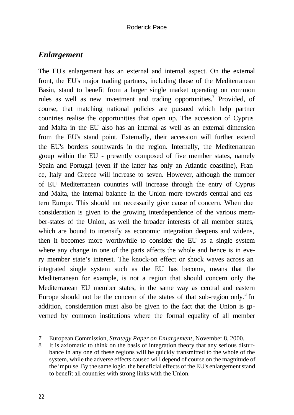### *Enlargement*

The EU's enlargement has an external and internal aspect. On the external front, the EU's major trading partners, including those of the Mediterranean Basin, stand to benefit from a larger single market operating on common rules as well as new investment and trading opportunities.<sup>7</sup> Provided, of course, that matching national policies are pursued which help partner countries realise the opportunities that open up. The accession of Cyprus and Malta in the EU also has an internal as well as an external dimension from the EU's stand point. Externally, their accession will further extend the EU's borders southwards in the region. Internally, the Mediterranean group within the EU - presently composed of five member states, namely Spain and Portugal (even if the latter has only an Atlantic coastline), France, Italy and Greece will increase to seven. However, although the number of EU Mediterranean countries will increase through the entry of Cyprus and Malta, the internal balance in the Union more towards central and eastern Europe. This should not necessarily give cause of concern. When due consideration is given to the growing interdependence of the various member-states of the Union, as well the broader interests of all member states, which are bound to intensify as economic integration deepens and widens, then it becomes more worthwhile to consider the EU as a single system where any change in one of the parts affects the whole and hence is in every member state's interest. The knock-on effect or shock waves across an integrated single system such as the EU has become, means that the Mediterranean for example, is not a region that should concern only the Mediterranean EU member states, in the same way as central and eastern Europe should not be the concern of the states of that sub-region only. $8 \text{ In }$ addition, consideration must also be given to the fact that the Union is governed by common institutions where the formal equality of all member

8 It is axiomatic to think on the basis of integration theory that any serious disturbance in any one of these regions will be quickly transmitted to the whole of the system, while the adverse effects caused will depend of course on the magnitude of the impulse. By the same logic, the beneficial effects of the EU's enlargement stand to benefit all countries with strong links with the Union.

<sup>7</sup> European Commission, *Strategy Paper on Enlargement*, November 8, 2000.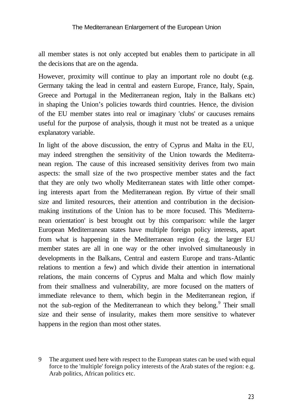#### The Mediterranean Enlargement of the European Union

all member states is not only accepted but enables them to participate in all the decisions that are on the agenda.

However, proximity will continue to play an important role no doubt (e.g. Germany taking the lead in central and eastern Europe, France, Italy, Spain, Greece and Portugal in the Mediterranean region, Italy in the Balkans etc) in shaping the Union's policies towards third countries. Hence, the division of the EU member states into real or imaginary 'clubs' or caucuses remains useful for the purpose of analysis, though it must not be treated as a unique explanatory variable.

In light of the above discussion, the entry of Cyprus and Malta in the EU, may indeed strengthen the sensitivity of the Union towards the Mediterranean region. The cause of this increased sensitivity derives from two main aspects: the small size of the two prospective member states and the fact that they are only two wholly Mediterranean states with little other competing interests apart from the Mediterranean region. By virtue of their small size and limited resources, their attention and contribution in the decisionmaking institutions of the Union has to be more focused. This 'Mediterranean orientation' is best brought out by this comparison: while the larger European Mediterranean states have multiple foreign policy interests, apart from what is happening in the Mediterranean region (e.g. the larger EU member states are all in one way or the other involved simultaneously in developments in the Balkans, Central and eastern Europe and trans-Atlantic relations to mention a few) and which divide their attention in international relations, the main concerns of Cyprus and Malta and which flow mainly from their smallness and vulnerability, are more focused on the matters of immediate relevance to them, which begin in the Mediterranean region, if not the sub-region of the Mediterranean to which they belong.<sup>9</sup> Their small size and their sense of insularity, makes them more sensitive to whatever happens in the region than most other states.

<sup>9</sup> The argument used here with respect to the European states can be used with equal force to the 'multiple' foreign policy interests of the Arab states of the region: e.g. Arab politics, African politics etc.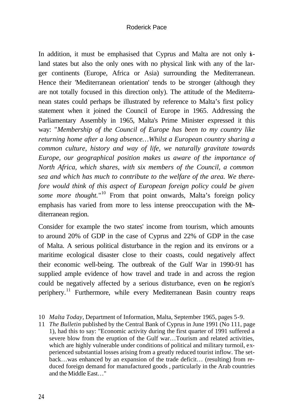#### Roderick Pace

In addition, it must be emphasised that Cyprus and Malta are not only  $\dot{s}$ land states but also the only ones with no physical link with any of the larger continents (Europe, Africa or Asia) surrounding the Mediterranean. Hence their 'Mediterranean orientation' tends to be stronger (although they are not totally focused in this direction only). The attitude of the Mediterranean states could perhaps be illustrated by reference to Malta's first policy statement when it joined the Council of Europe in 1965. Addressing the Parliamentary Assembly in 1965, Malta's Prime Minister expressed it this way: "*Membership of the Council of Europe has been to my country like returning home after a long absence…Whilst a European country sharing a common culture, history and way of life, we naturally gravitate towards Europe, our geographical position makes us aware of the importance of North Africa, which shares, with six members of the Council, a common sea and which has much to contribute to the welfare of the area. We therefore would think of this aspect of European foreign policy could be given*  some more thought."<sup>10</sup> From that point onwards, Malta's foreign policy emphasis has varied from more to less intense preoccupation with the Mediterranean region.

Consider for example the two states' income from tourism, which amounts to around 20% of GDP in the case of Cyprus and 22% of GDP in the case of Malta. A serious political disturbance in the region and its environs or a maritime ecological disaster close to their coasts, could negatively affect their economic well-being. The outbreak of the Gulf War in 1990-91 has supplied ample evidence of how travel and trade in and across the region could be negatively affected by a serious disturbance, even on the region's periphery.<sup>11</sup> Furthermore, while every Mediterranean Basin country reaps

- 10 *Malta Today*, Department of Information, Malta, September 1965, pages 5-9.
- 11 *The Bulletin* published by the Central Bank of Cyprus in June 1991 (No 111, page 1), had this to say: "Economic activity during the first quarter of 1991 suffered a severe blow from the eruption of the Gulf war…Tourism and related activities, which are highly vulnerable under conditions of political and military turmoil, experienced substantial losses arising from a greatly reduced tourist inflow. The setback…was enhanced by an expansion of the trade deficit… (resulting) from reduced foreign demand for manufactured goods , particularly in the Arab countries and the Middle East…"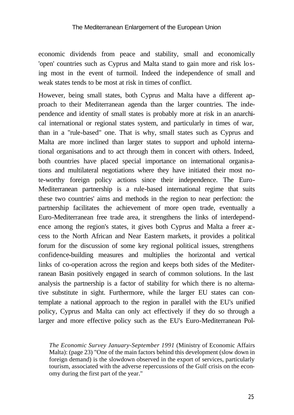economic dividends from peace and stability, small and economically 'open' countries such as Cyprus and Malta stand to gain more and risk losing most in the event of turmoil. Indeed the independence of small and weak states tends to be most at risk in times of conflict.

However, being small states, both Cyprus and Malta have a different approach to their Mediterranean agenda than the larger countries. The independence and identity of small states is probably more at risk in an anarchical international or regional states system, and particularly in times of war, than in a "rule-based" one. That is why, small states such as Cyprus and Malta are more inclined than larger states to support and uphold international organisations and to act through them in concert with others. Indeed, both countries have placed special importance on international organisations and multilateral negotiations where they have initiated their most note-worthy foreign policy actions since their independence. The Euro-Mediterranean partnership is a rule-based international regime that suits these two countries' aims and methods in the region to near perfection: the partnership facilitates the achievement of more open trade, eventually a Euro-Mediterranean free trade area, it strengthens the links of interdependence among the region's states, it gives both Cyprus and Malta a freer  $x$ cess to the North African and Near Eastern markets, it provides a political forum for the discussion of some key regional political issues, strengthens confidence-building measures and multiplies the horizontal and vertical links of co-operation across the region and keeps both sides of the Mediterranean Basin positively engaged in search of common solutions. In the last analysis the partnership is a factor of stability for which there is no alternative substitute in sight. Furthermore, while the larger EU states can contemplate a national approach to the region in parallel with the EU's unified policy, Cyprus and Malta can only act effectively if they do so through a larger and more effective policy such as the EU's Euro-Mediterranean Pol-

*The Economic Survey January-September 1991* (Ministry of Economic Affairs Malta): (page 23) "One of the main factors behind this development (slow down in foreign demand) is the slowdown observed in the export of services, particularly tourism, associated with the adverse repercussions of the Gulf crisis on the economy during the first part of the year."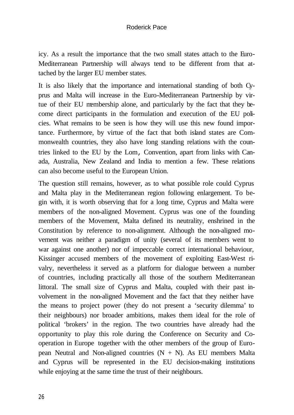#### Roderick Pace

icy. As a result the importance that the two small states attach to the Euro-Mediterranean Partnership will always tend to be different from that attached by the larger EU member states.

It is also likely that the importance and international standing of both Cyprus and Malta will increase in the Euro-Mediterranean Partnership by virtue of their EU membership alone, and particularly by the fact that they become direct participants in the formulation and execution of the EU policies. What remains to be seen is how they will use this new found importance. Furthermore, by virtue of the fact that both island states are Commonwealth countries, they also have long standing relations with the countries linked to the EU by the Lom, Convention, apart from links with Canada, Australia, New Zealand and India to mention a few. These relations can also become useful to the European Union.

The question still remains, however, as to what possible role could Cyprus and Malta play in the Mediterranean region following enlargement. To begin with, it is worth observing that for a long time, Cyprus and Malta were members of the non-aligned Movement. Cyprus was one of the founding members of the Movement, Malta defined its neutrality, enshrined in the Constitution by reference to non-alignment. Although the non-aligned movement was neither a paradigm of unity (several of its members went to war against one another) nor of impeccable correct international behaviour, Kissinger accused members of the movement of exploiting East-West rivalry, nevertheless it served as a platform for dialogue between a number of countries, including practically all those of the southern Mediterranean littoral. The small size of Cyprus and Malta, coupled with their past involvement in the non-aligned Movement and the fact that they neither have the means to project power (they do not present a 'security dilemma' to their neighbours) nor broader ambitions, makes them ideal for the role of political 'brokers' in the region. The two countries have already had the opportunity to play this role during the Conference on Security and Cooperation in Europe together with the other members of the group of European Neutral and Non-aligned countries  $(N + N)$ . As EU members Malta and Cyprus will be represented in the EU decision-making institutions while enjoying at the same time the trust of their neighbours.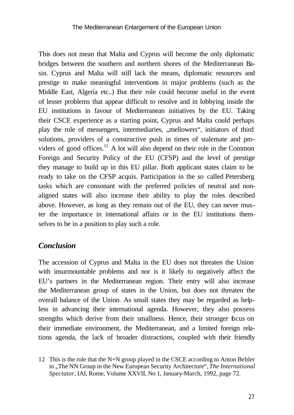This does not mean that Malta and Cyprus will become the only diplomatic bridges between the southern and northern shores of the Mediterranean Basin. Cyprus and Malta will still lack the means, diplomatic resources and prestige to make meaningful interventions in major problems (such as the Middle East, Algeria etc..) But their role could become useful in the event of lesser problems that appear difficult to resolve and in lobbying inside the EU institutions in favour of Mediterranean initiatives by the EU. Taking their CSCE experience as a starting point, Cyprus and Malta could perhaps play the role of messengers, intermediaries, "mellowers", initiators of third solutions, providers of a constructive push in times of stalemate and providers of good offices.<sup>12</sup> A lot will also depend on their role in the Common Foreign and Security Policy of the EU (CFSP) and the level of prestige they manage to build up in this EU pillar. Both applicant states claim to be ready to take on the CFSP acquis. Participation in the so called Petersberg tasks which are consonant with the preferred policies of neutral and nonaligned states will also increase their ability to play the roles described above. However, as long as they remain out of the EU, they can never muster the importance in international affairs or in the EU institutions themselves to be in a position to play such a role.

### *Conclusion*

The accession of Cyprus and Malta in the EU does not threaten the Union with insurmountable problems and nor is it likely to negatively affect the EU's partners in the Mediterranean region. Their entry will also increase the Mediterranean group of states in the Union, but does not threaten the overall balance of the Union. As small states they may be regarded as helpless in advancing their international agenda. However, they also possess strengths which derive from their smallness. Hence, their stronger focus on their immediate environment, the Mediterranean, and a limited foreign relations agenda, the lack of broader distractions, coupled with their friendly

12 This is the role that the N+N group played in the CSCE according to Anton Bebler in "The NN Group in the New European Security Architecture", *The International Spectator*, IAI, Rome, Volume XXVII, No 1, January-March, 1992, page 72.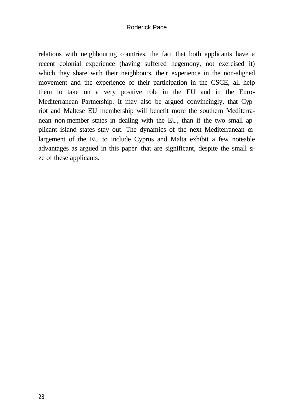#### Roderick Pace

relations with neighbouring countries, the fact that both applicants have a recent colonial experience (having suffered hegemony, not exercised it) which they share with their neighbours, their experience in the non-aligned movement and the experience of their participation in the CSCE, all help them to take on a very positive role in the EU and in the Euro-Mediterranean Partnership. It may also be argued convincingly, that Cypriot and Maltese EU membership will benefit more the southern Mediterranean non-member states in dealing with the EU, than if the two small applicant island states stay out. The dynamics of the next Mediterranean enlargement of the EU to include Cyprus and Malta exhibit a few noteable advantages as argued in this paper that are significant, despite the small size of these applicants.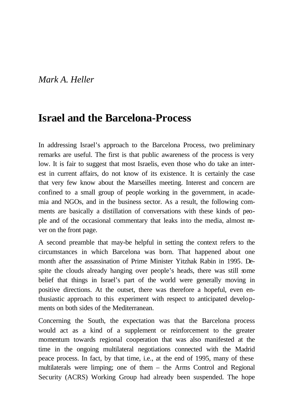## *Mark A. Heller*

## **Israel and the Barcelona-Process**

In addressing Israel's approach to the Barcelona Process, two preliminary remarks are useful. The first is that public awareness of the process is very low. It is fair to suggest that most Israelis, even those who do take an interest in current affairs, do not know of its existence. It is certainly the case that very few know about the Marseilles meeting. Interest and concern are confined to a small group of people working in the government, in academia and NGOs, and in the business sector. As a result, the following comments are basically a distillation of conversations with these kinds of people and of the occasional commentary that leaks into the media, almost never on the front page.

A second preamble that may-be helpful in setting the context refers to the circumstances in which Barcelona was born. That happened about one month after the assassination of Prime Minister Yitzhak Rabin in 1995. Despite the clouds already hanging over people's heads, there was still some belief that things in Israel's part of the world were generally moving in positive directions. At the outset, there was therefore a hopeful, even enthusiastic approach to this experiment with respect to anticipated developments on both sides of the Mediterranean.

Concerning the South, the expectation was that the Barcelona process would act as a kind of a supplement or reinforcement to the greater momentum towards regional cooperation that was also manifested at the time in the ongoing multilateral negotiations connected with the Madrid peace process. In fact, by that time, i.e., at the end of 1995, many of these multilaterals were limping; one of them – the Arms Control and Regional Security (ACRS) Working Group had already been suspended. The hope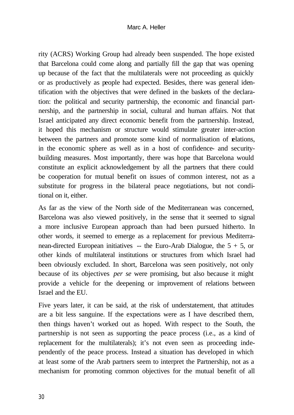rity (ACRS) Working Group had already been suspended. The hope existed that Barcelona could come along and partially fill the gap that was opening up because of the fact that the multilaterals were not proceeding as quickly or as productively as people had expected. Besides, there was general identification with the objectives that were defined in the baskets of the declaration: the political and security partnership, the economic and financial partnership, and the partnership in social, cultural and human affairs. Not that Israel anticipated any direct economic benefit from the partnership. Instead, it hoped this mechanism or structure would stimulate greater inter-action between the partners and promote some kind of normalisation of relations, in the economic sphere as well as in a host of confidence- and securitybuilding measures. Most importantly, there was hope that Barcelona would constitute an explicit acknowledgement by all the partners that there could be cooperation for mutual benefit on issues of common interest, not as a substitute for progress in the bilateral peace negotiations, but not conditional on it, either.

As far as the view of the North side of the Mediterranean was concerned, Barcelona was also viewed positively, in the sense that it seemed to signal a more inclusive European approach than had been pursued hitherto. In other words, it seemed to emerge as a replacement for previous Mediterranean-directed European initiatives -- the Euro-Arab Dialogue, the  $5 + 5$ , or other kinds of multilateral institutions or structures from which Israel had been obviously excluded. In short, Barcelona was seen positively, not only because of its objectives *per se* were promising, but also because it might provide a vehicle for the deepening or improvement of relations between Israel and the EU.

Five years later, it can be said, at the risk of understatement, that attitudes are a bit less sanguine. If the expectations were as I have described them, then things haven't worked out as hoped. With respect to the South, the partnership is not seen as supporting the peace process (i.e., as a kind of replacement for the multilaterals); it's not even seen as proceeding independently of the peace process. Instead a situation has developed in which at least some of the Arab partners seem to interpret the Partnership, not as a mechanism for promoting common objectives for the mutual benefit of all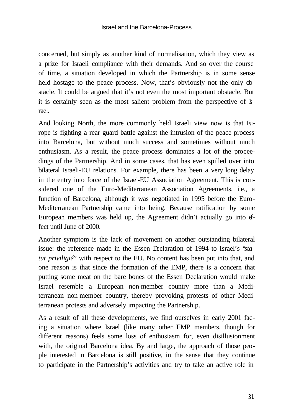concerned, but simply as another kind of normalisation, which they view as a prize for Israeli compliance with their demands. And so over the course of time, a situation developed in which the Partnership is in some sense held hostage to the peace process. Now, that's obviously not the only obstacle. It could be argued that it's not even the most important obstacle. But it is certainly seen as the most salient problem from the perspective of  $\mathbf{k}$ rael.

And looking North, the more commonly held Israeli view now is that Europe is fighting a rear guard battle against the intrusion of the peace process into Barcelona, but without much success and sometimes without much enthusiasm. As a result, the peace process dominates a lot of the proceedings of the Partnership. And in some cases, that has even spilled over into bilateral Israeli-EU relations. For example, there has been a very long delay in the entry into force of the Israel-EU Association Agreement. This is considered one of the Euro-Mediterranean Association Agreements, i.e., a function of Barcelona, although it was negotiated in 1995 before the Euro-Mediterranean Partnership came into being. Because ratification by some European members was held up, the Agreement didn't actually go into  $f$ fect until June of 2000.

Another symptom is the lack of movement on another outstanding bilateral issue: the reference made in the Essen Declaration of 1994 to Israel's "*statut priviligié*" with respect to the EU. No content has been put into that, and one reason is that since the formation of the EMP, there is a concern that putting some meat on the bare bones of the Essen Declaration would make Israel resemble a European non-member country more than a Mediterranean non-member country, thereby provoking protests of other Mediterranean protests and adversely impacting the Partnership.

As a result of all these developments, we find ourselves in early 2001 facing a situation where Israel (like many other EMP members, though for different reasons) feels some loss of enthusiasm for, even disillusionment with, the original Barcelona idea. By and large, the approach of those people interested in Barcelona is still positive, in the sense that they continue to participate in the Partnership's activities and try to take an active role in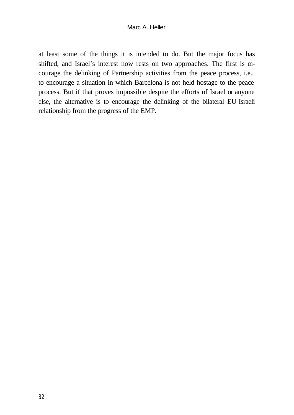at least some of the things it is intended to do. But the major focus has shifted, and Israel's interest now rests on two approaches. The first is encourage the delinking of Partnership activities from the peace process, i.e., to encourage a situation in which Barcelona is not held hostage to the peace process. But if that proves impossible despite the efforts of Israel or anyone else, the alternative is to encourage the delinking of the bilateral EU-Israeli relationship from the progress of the EMP.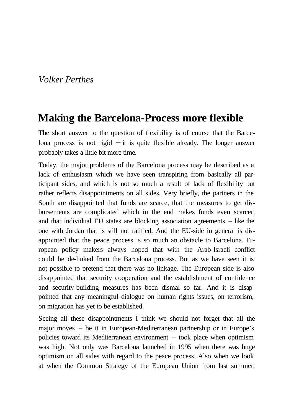## *Volker Perthes*

## **Making the Barcelona-Process more flexible**

The short answer to the question of flexibility is of course that the Barcelona process is not rigid − it is quite flexible already. The longer answer probably takes a little bit more time*.*

Today, the major problems of the Barcelona process may be described as a lack of enthusiasm which we have seen transpiring from basically all participant sides, and which is not so much a result of lack of flexibility but rather reflects disappointments on all sides. Very briefly, the partners in the South are disappointed that funds are scarce, that the measures to get disbursements are complicated which in the end makes funds even scarcer, and that individual EU states are blocking association agreements – like the one with Jordan that is still not ratified. And the EU-side in general is disappointed that the peace process is so much an obstacle to Barcelona. European policy makers always hoped that with the Arab-Israeli conflict could be de-linked from the Barcelona process. But as we have seen it is not possible to pretend that there was no linkage. The European side is also disappointed that security cooperation and the establishment of confidence and security-building measures has been dismal so far. And it is disappointed that any meaningful dialogue on human rights issues, on terrorism, on migration has yet to be established.

Seeing all these disappointments I think we should not forget that all the major moves – be it in European-Mediterranean partnership or in Europe's policies toward its Mediterranean environment – took place when optimism was high. Not only was Barcelona launched in 1995 when there was huge optimism on all sides with regard to the peace process. Also when we look at when the Common Strategy of the European Union from last summer,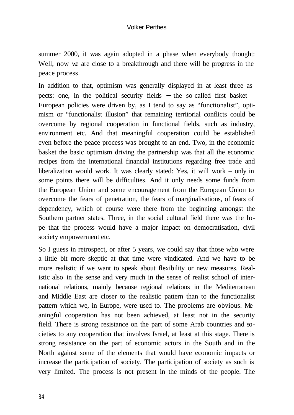summer 2000, it was again adopted in a phase when everybody thought: Well, now we are close to a breakthrough and there will be progress in the peace process.

In addition to that, optimism was generally displayed in at least three aspects: one, in the political security fields − the so-called first basket – European policies were driven by, as I tend to say as "functionalist", optimism or "functionalist illusion" that remaining territorial conflicts could be overcome by regional cooperation in functional fields, such as industry, environment etc. And that meaningful cooperation could be established even before the peace process was brought to an end. Two, in the economic basket the basic optimism driving the partnership was that all the economic recipes from the international financial institutions regarding free trade and liberalization would work. It was clearly stated: Yes, it will work – only in some points there will be difficulties. And it only needs some funds from the European Union and some encouragement from the European Union to overcome the fears of penetration, the fears of marginalisations, of fears of dependency, which of course were there from the beginning amongst the Southern partner states. Three, in the social cultural field there was the hope that the process would have a major impact on democratisation, civil society empowerment etc.

So I guess in retrospect, or after 5 years, we could say that those who were a little bit more skeptic at that time were vindicated. And we have to be more realistic if we want to speak about flexibility or new measures. Realistic also in the sense and very much in the sense of realist school of international relations, mainly because regional relations in the Mediterranean and Middle East are closer to the realistic pattern than to the functionalist pattern which we, in Europe, were used to. The problems are obvious. Meaningful cooperation has not been achieved, at least not in the security field. There is strong resistance on the part of some Arab countries and societies to any cooperation that involves Israel, at least at this stage. There is strong resistance on the part of economic actors in the South and in the North against some of the elements that would have economic impacts or increase the participation of society. The participation of society as such is very limited. The process is not present in the minds of the people. The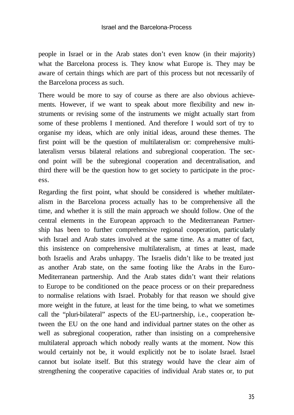people in Israel or in the Arab states don't even know (in their majority) what the Barcelona process is. They know what Europe is. They may be aware of certain things which are part of this process but not necessarily of the Barcelona process as such.

There would be more to say of course as there are also obvious achievements. However, if we want to speak about more flexibility and new instruments or revising some of the instruments we might actually start from some of these problems I mentioned. And therefore I would sort of try to organise my ideas, which are only initial ideas, around these themes. The first point will be the question of multilateralism or: comprehensive multilateralism versus bilateral relations and subregional cooperation. The second point will be the subregional cooperation and decentralisation, and third there will be the question how to get society to participate in the process.

Regarding the first point, what should be considered is whether multilateralism in the Barcelona process actually has to be comprehensive all the time, and whether it is still the main approach we should follow. One of the central elements in the European approach to the Mediterranean Partnership has been to further comprehensive regional cooperation, particularly with Israel and Arab states involved at the same time. As a matter of fact, this insistence on comprehensive multilateralism, at times at least, made both Israelis and Arabs unhappy. The Israelis didn't like to be treated just as another Arab state, on the same footing like the Arabs in the Euro-Mediterranean partnership. And the Arab states didn't want their relations to Europe to be conditioned on the peace process or on their preparedness to normalise relations with Israel. Probably for that reason we should give more weight in the future, at least for the time being, to what we sometimes call the "pluri-bilateral" aspects of the EU-partnership, i.e., cooperation between the EU on the one hand and individual partner states on the other as well as subregional cooperation, rather than insisting on a comprehensive multilateral approach which nobody really wants at the moment. Now this would certainly not be, it would explicitly not be to isolate Israel. Israel cannot but isolate itself. But this strategy would have the clear aim of strengthening the cooperative capacities of individual Arab states or, to put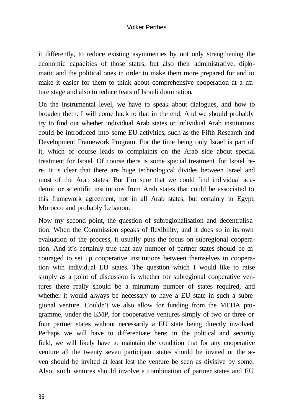#### Volker Perthes

it differently, to reduce existing asymmetries by not only strengthening the economic capacities of those states, but also their administrative, diplomatic and the political ones in order to make them more prepared for and to make it easier for them to think about comprehensive cooperation at a mature stage and also to reduce fears of Israeli domination.

On the instrumental level, we have to speak about dialogues, and how to broaden them. I will come back to that in the end. And we should probably try to find out whether individual Arab states or individual Arab institutions could be introduced into some EU activities, such as the Fifth Research and Development Framework Program. For the time being only Israel is part of it, which of course leads to complaints on the Arab side about special treatment for Israel. Of course there is some special treatment for Israel here. It is clear that there are huge technological divides between Israel and most of the Arab states. But I'm sure that we could find individual academic or scientific institutions from Arab states that could be associated to this framework agreement, not in all Arab states, but certainly in Egypt, Morocco and probably Lebanon.

Now my second point, the question of subregionalisation and decentralisation. When the Commission speaks of flexibility, and it does so in its own evaluation of the process, it usually puts the focus on subregional cooperation. And it's certainly true that any number of partner states should be encouraged to set up cooperative institutions between themselves in cooperation with individual EU states. The question which I would like to raise simply as a point of discussion is whether for subregional cooperative ventures there really should be a minimum number of states required, and whether it would always be necessary to have a EU state in such a subregional venture. Couldn't we also allow for funding from the MEDA programme, under the EMP, for cooperative ventures simply of two or three or four partner states without necessarily a EU state being directly involved. Perhaps we will have to differentiate here: in the political and security field, we will likely have to maintain the condition that for any cooperative venture all the twenty seven participant states should be invited or the seven should be invited at least lest the venture be seen as divisive by some. Also, such ventures should involve a combination of partner states and EU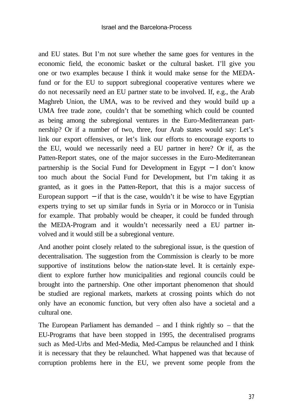and EU states. But I'm not sure whether the same goes for ventures in the economic field, the economic basket or the cultural basket. I'll give you one or two examples because I think it would make sense for the MEDAfund or for the EU to support subregional cooperative ventures where we do not necessarily need an EU partner state to be involved. If, e.g., the Arab Maghreb Union, the UMA, was to be revived and they would build up a UMA free trade zone, couldn't that be something which could be counted as being among the subregional ventures in the Euro-Mediterranean partnership? Or if a number of two, three, four Arab states would say: Let's link our export offensives, or let's link our efforts to encourage exports to the EU, would we necessarily need a EU partner in here? Or if, as the Patten-Report states, one of the major successes in the Euro-Mediterranean partnership is the Social Fund for Development in Egypt − I don't know too much about the Social Fund for Development, but I'm taking it as granted, as it goes in the Patten-Report, that this is a major success of European support  $-$  if that is the case, wouldn't it be wise to have Egyptian experts trying to set up similar funds in Syria or in Morocco or in Tunisia for example. That probably would be cheaper, it could be funded through the MEDA-Program and it wouldn't necessarily need a EU partner involved and it would still be a subregional venture.

And another point closely related to the subregional issue, is the question of decentralisation. The suggestion from the Commission is clearly to be more supportive of institutions below the nation-state level. It is certainly expedient to explore further how municipalities and regional councils could be brought into the partnership. One other important phenomenon that should be studied are regional markets, markets at crossing points which do not only have an economic function, but very often also have a societal and a cultural one.

The European Parliament has demanded  $-$  and I think rightly so  $-$  that the EU-Programs that have been stopped in 1995, the decentralised programs such as Med-Urbs and Med-Media, Med-Campus be relaunched and I think it is necessary that they be relaunched. What happened was that because of corruption problems here in the EU, we prevent some people from the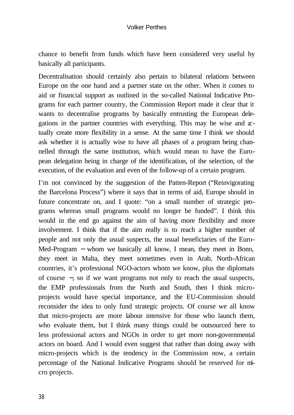chance to benefit from funds which have been considered very useful by basically all participants.

Decentralisation should certainly also pertain to bilateral relations between Europe on the one hand and a partner state on the other. When it comes to aid or financial support as outlined in the so-called National Indicative Programs for each partner country, the Commission Report made it clear that it wants to decentralise programs by basically entrusting the European delegations in the partner countries with everything. This may be wise and  $x$ tually create more flexibility in a sense. At the same time I think we should ask whether it is actually wise to have all phases of a program being channelled through the same institution, which would mean to have the European delegation being in charge of the identification, of the selection, of the execution, of the evaluation and even of the follow-up of a certain program.

I'm not convinced by the suggestion of the Patten-Report ("Reinvigorating the Barcelona Process") where it says that in terms of aid, Europe should in future concentrate on, and I quote: "on a small number of strategic programs whereas small programs would no longer be funded". I think this would in the end go against the aim of having more flexibility and more involvement. I think that if the aim really is to reach a higher number of people and not only the usual suspects, the usual beneficiaries of the Euro-Med-Program – whom we basically all know, I mean, they meet in Bonn, they meet in Malta, they meet sometimes even in Arab, North-African countries, it's professional NGO-actors whom we know, plus the diplomats of course −, so if we want programs not only to reach the usual suspects, the EMP professionals from the North and South, then I think microprojects would have special importance, and the EU-Commission should reconsider the idea to only fund strategic projects. Of course we all know that micro-projects are more labour intensive for those who launch them, who evaluate them, but I think many things could be outsourced here to less professional actors and NGOs in order to get more non-governmental actors on board. And I would even suggest that rather than doing away with micro-projects which is the tendency in the Commission now, a certain percentage of the National Indicative Programs should be reserved for micro projects.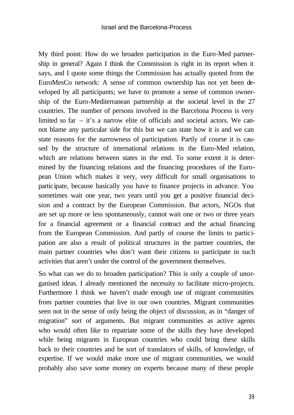My third point: How do we broaden participation in the Euro-Med partnership in general? Again I think the Commission is right in its report when it says, and I quote some things the Commission has actually quoted from the EuroMesCo network: A sense of common ownership has not yet been developed by all participants; we have to promote a sense of common ownership of the Euro-Mediterranean partnership at the societal level in the 27 countries. The number of persons involved in the Barcelona Process is very limited so far – it's a narrow elite of officials and societal actors. We cannot blame any particular side for this but we can state how it is and we can state reasons for the narrowness of participation. Partly of course it is caused by the structure of international relations in the Euro-Med relation, which are relations between states in the end. To some extent it is determined by the financing relations and the financing procedures of the European Union which makes it very, very difficult for small organisations to participate, because basically you have to finance projects in advance. You sometimes wait one year, two years until you get a positive financial decision and a contract by the European Commission. But actors, NGOs that are set up more or less spontaneously, cannot wait one or two or three years for a financial agreement or a financial contract and the actual financing from the European Commission. And partly of course the limits to participation are also a result of political structures in the partner countries, the main partner countries who don't want their citizens to participate in such activities that aren't under the control of the government themselves.

So what can we do to broaden participation? This is only a couple of unorganised ideas. I already mentioned the necessity to facilitate micro-projects. Furthermore I think we haven't made enough use of migrant communities from partner countries that live in our own countries. Migrant communities seen not in the sense of only being the object of discussion, as in "danger of migration" sort of arguments. But migrant communities as active agents who would often like to repatriate some of the skills they have developed while being migrants in European countries who could bring these skills back to their countries and be sort of translators of skills, of knowledge, of expertise. If we would make more use of migrant communities, we would probably also save some money on experts because many of these people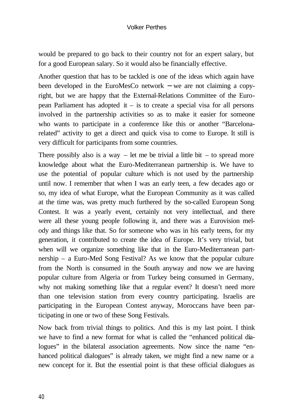#### Volker Perthes

would be prepared to go back to their country not for an expert salary, but for a good European salary. So it would also be financially effective.

Another question that has to be tackled is one of the ideas which again have been developed in the EuroMesCo network − we are not claiming a copyright, but we are happy that the External-Relations Committee of the European Parliament has adopted it – is to create a special visa for all persons involved in the partnership activities so as to make it easier for someone who wants to participate in a conference like this or another "Barcelonarelated" activity to get a direct and quick visa to come to Europe. It still is very difficult for participants from some countries.

There possibly also is a way – let me be trivial a little bit – to spread more knowledge about what the Euro-Mediterranean partnership is. We have to use the potential of popular culture which is not used by the partnership until now. I remember that when I was an early teen, a few decades ago or so, my idea of what Europe, what the European Community as it was called at the time was, was pretty much furthered by the so-called European Song Contest. It was a yearly event, certainly not very intellectual, and there were all these young people following it, and there was a Eurovision melody and things like that. So for someone who was in his early teens, for my generation, it contributed to create the idea of Europe. It's very trivial, but when will we organize something like that in the Euro-Mediterranean partnership – a Euro-Med Song Festival? As we know that the popular culture from the North is consumed in the South anyway and now we are having popular culture from Algeria or from Turkey being consumed in Germany, why not making something like that a regular event? It doesn't need more than one television station from every country participating. Israelis are participating in the European Contest anyway, Moroccans have been participating in one or two of these Song Festivals.

Now back from trivial things to politics. And this is my last point. I think we have to find a new format for what is called the "enhanced political dialogues" in the bilateral association agreements. Now since the name "enhanced political dialogues" is already taken, we might find a new name or a new concept for it. But the essential point is that these official dialogues as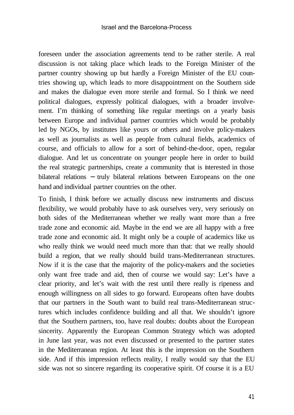foreseen under the association agreements tend to be rather sterile. A real discussion is not taking place which leads to the Foreign Minister of the partner country showing up but hardly a Foreign Minister of the EU countries showing up, which leads to more disappointment on the Southern side and makes the dialogue even more sterile and formal. So I think we need political dialogues, expressly political dialogues, with a broader involvement. I'm thinking of something like regular meetings on a yearly basis between Europe and individual partner countries which would be probably led by NGOs, by institutes like yours or others and involve policy-makers as well as journalists as well as people from cultural fields, academics of course, and officials to allow for a sort of behind-the-door, open, regular dialogue. And let us concentrate on younger people here in order to build the real strategic partnerships, create a community that is interested in those bilateral relations − truly bilateral relations between Europeans on the one hand and individual partner countries on the other.

To finish, I think before we actually discuss new instruments and discuss flexibility, we would probably have to ask ourselves very, very seriously on both sides of the Mediterranean whether we really want more than a free trade zone and economic aid. Maybe in the end we are all happy with a free trade zone and economic aid. It might only be a couple of academics like us who really think we would need much more than that: that we really should build a region, that we really should build trans-Mediterranean structures. Now if it is the case that the majority of the policy-makers and the societies only want free trade and aid, then of course we would say: Let's have a clear priority, and let's wait with the rest until there really is ripeness and enough willingness on all sides to go forward. Europeans often have doubts that our partners in the South want to build real trans-Mediterranean structures which includes confidence building and all that. We shouldn't ignore that the Southern partners, too, have real doubts: doubts about the European sincerity. Apparently the European Common Strategy which was adopted in June last year, was not even discussed or presented to the partner states in the Mediterranean region. At least this is the impression on the Southern side. And if this impression reflects reality, I really would say that the EU side was not so sincere regarding its cooperative spirit. Of course it is a EU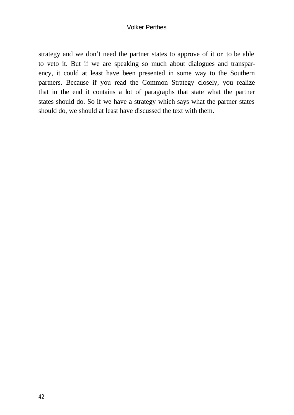#### Volker Perthes

strategy and we don't need the partner states to approve of it or to be able to veto it. But if we are speaking so much about dialogues and transparency, it could at least have been presented in some way to the Southern partners. Because if you read the Common Strategy closely, you realize that in the end it contains a lot of paragraphs that state what the partner states should do. So if we have a strategy which says what the partner states should do, we should at least have discussed the text with them.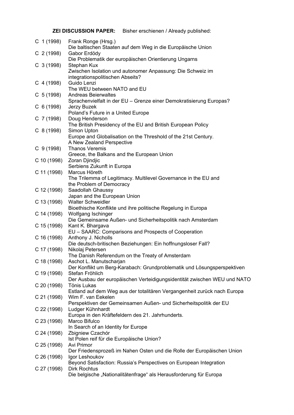**ZEI DISCUSSION PAPER:** Bisher erschienen / Already published:

| C 1 (1998)                 | Frank Ronge (Hrsg.)<br>Die baltischen Staaten auf dem Weg in die Europäische Union          |
|----------------------------|---------------------------------------------------------------------------------------------|
| C $2(1998)$                | Gabor Erdödy                                                                                |
|                            | Die Problematik der europäischen Orientierung Ungarns                                       |
| $C$ 3 (1998)<br>C 4 (1998) | Stephan Kux                                                                                 |
|                            | Zwischen Isolation und autonomer Anpassung: Die Schweiz im                                  |
|                            | integrationspolitischen Abseits?                                                            |
|                            | Guido Lenzi                                                                                 |
| $C$ 5 (1998)               | The WEU between NATO and EU<br><b>Andreas Beierwaltes</b>                                   |
|                            | Sprachenvielfalt in der EU - Grenze einer Demokratisierung Europas?                         |
| $C_6(1998)$                | Jerzy Buzek                                                                                 |
|                            | Poland's Future in a United Europe                                                          |
| C 7 (1998)                 | Doug Henderson                                                                              |
|                            | The British Presidency of the EU and British European Policy                                |
| C 8(1998)                  | Simon Upton                                                                                 |
|                            | Europe and Globalisation on the Threshold of the 21st Century.<br>A New Zealand Perspective |
| $C$ 9 (1998)               | <b>Thanos Veremis</b>                                                                       |
|                            | Greece, the Balkans and the European Union                                                  |
| C 10 (1998)                | Zoran Djindjic                                                                              |
|                            | Serbiens Zukunft in Europa                                                                  |
| C 11 (1998)                | Marcus Höreth                                                                               |
|                            | The Trilemma of Legitimacy. Multilevel Governance in the EU and                             |
| C 12 (1998)                | the Problem of Democracy<br>Saadollah Ghaussy                                               |
|                            | Japan and the European Union                                                                |
|                            | C 13 (1998) Walter Schweidler                                                               |
|                            | Bioethische Konflikte und ihre politische Regelung in Europa                                |
|                            | C 14 (1998) Wolfgang Ischinger                                                              |
|                            | Die Gemeinsame Außen- und Sicherheitspolitik nach Amsterdam                                 |
|                            | C 15 (1998) Kant K. Bhargava                                                                |
|                            | EU - SAARC: Comparisons and Prospects of Cooperation<br>C 16 (1998) Anthony J. Nicholls     |
|                            | Die deutsch-britischen Beziehungen: Ein hoffnungsloser Fall?                                |
| C 17 (1998)                | Nikolaj Petersen                                                                            |
|                            | The Danish Referendum on the Treaty of Amsterdam                                            |
|                            | C 18 (1998) Aschot L. Manutscharjan                                                         |
|                            | Der Konflikt um Berg-Karabach: Grundproblematik und Lösungsperspektiven                     |
| C 19 (1998)                | Stefan Fröhlich                                                                             |
| C 20 (1998)                | Der Ausbau der europäischen Verteidigungsidentität zwischen WEU und NATO<br>Tönis Lukas     |
|                            | Estland auf dem Weg aus der totalitären Vergangenheit zurück nach Europa                    |
| C 21 (1998)                | Wim F. van Eekelen                                                                          |
|                            | Perspektiven der Gemeinsamen Außen- und Sicherheitspolitik der EU                           |
| C 22 (1998)                | Ludger Kühnhardt                                                                            |
|                            | Europa in den Kräftefeldern des 21. Jahrhunderts.                                           |
| C 23 (1998)                | Marco Bifulco                                                                               |
| C 24 (1998)                | In Search of an Identity for Europe                                                         |
|                            | Zbigniew Czachór<br>Ist Polen reif für die Europäische Union?                               |
| C 25 (1998)                | Avi Primor                                                                                  |
|                            | Der Friedensprozeß im Nahen Osten und die Rolle der Europäischen Union                      |
| C 26 (1998)                | Igor Leshoukov                                                                              |
|                            | Beyond Satisfaction: Russia's Perspectives on European Integration                          |
| C 27 (1998)                | <b>Dirk Rochtus</b>                                                                         |
|                            | Die belgische "Nationalitätenfrage" als Herausforderung für Europa                          |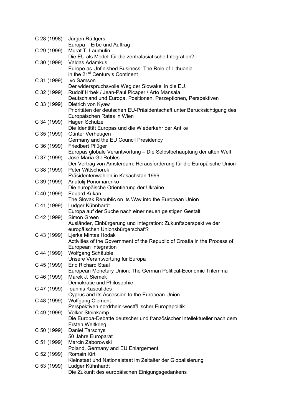| C 28 (1998) | Jürgen Rüttgers                                                            |
|-------------|----------------------------------------------------------------------------|
|             | Europa - Erbe und Auftrag                                                  |
| C 29 (1999) | Murat T. Laumulin                                                          |
|             | Die EU als Modell für die zentralasiatische Integration?                   |
| C 30 (1999) | Valdas Adamkus                                                             |
|             | Europe as Unfinished Business: The Role of Lithuania                       |
|             | in the 21 <sup>st</sup> Century's Continent                                |
| C 31 (1999) | Ivo Samson                                                                 |
|             | Der widerspruchsvolle Weg der Slowakei in die EU.                          |
| C 32 (1999) | Rudolf Hrbek / Jean-Paul Picaper / Arto Mansala                            |
|             | Deutschland und Europa. Positionen, Perzeptionen, Perspektiven             |
| C 33 (1999) | Dietrich von Kyaw                                                          |
|             | Prioritäten der deutschen EU-Präsidentschaft unter Berücksichtigung des    |
|             | Europäischen Rates in Wien                                                 |
| C 34 (1999) | Hagen Schulze                                                              |
|             | Die Identität Europas und die Wiederkehr der Antike                        |
| C 35 (1999) | Günter Verheugen                                                           |
|             | Germany and the EU Council Presidency                                      |
| C 36 (1999) | Friedbert Pflüger                                                          |
|             | Europas globale Verantwortung - Die Selbstbehauptung der alten Welt        |
| C 37 (1999) | José María Gil-Robles                                                      |
|             | Der Vertrag von Amsterdam: Herausforderung für die Europäische Union       |
| C 38 (1999) | Peter Wittschorek                                                          |
|             | Präsidentenwahlen in Kasachstan 1999                                       |
| C 39 (1999) | Anatolij Ponomarenko                                                       |
|             | Die europäische Orientierung der Ukraine<br><b>Eduard Kukan</b>            |
| C 40 (1999) |                                                                            |
|             | The Slovak Republic on its Way into the European Union<br>Ludger Kühnhardt |
| C 41 (1999) | Europa auf der Suche nach einer neuen geistigen Gestalt                    |
| C 42 (1999) | Simon Green                                                                |
|             | Ausländer, Einbürgerung und Integration: Zukunftsperspektive der           |
|             | europäischen Unionsbürgerschaft?                                           |
| C 43 (1999) | Ljerka Mintas Hodak                                                        |
|             | Activities of the Government of the Republic of Croatia in the Process of  |
|             | European Integration                                                       |
| C 44 (1999) | Wolfgang Schäuble                                                          |
|             | Unsere Verantwortung für Europa                                            |
| C 45 (1999) | <b>Eric Richard Staal</b>                                                  |
|             | European Monetary Union: The German Political-Economic Trilemma            |
| C 46 (1999) | Marek J. Siemek                                                            |
|             | Demokratie und Philosophie                                                 |
| C 47 (1999) | Ioannis Kasoulides                                                         |
|             | Cyprus and its Accession to the European Union                             |
| C 48 (1999) | <b>Wolfgang Clement</b>                                                    |
|             | Perspektiven nordrhein-westfälischer Europapolitik                         |
| C 49 (1999) | <b>Volker Steinkamp</b>                                                    |
|             | Die Europa-Debatte deutscher und französischer Intellektueller nach dem    |
|             | Ersten Weltkrieg                                                           |
| C 50 (1999) | <b>Daniel Tarschys</b>                                                     |
|             | 50 Jahre Europarat                                                         |
| C 51 (1999) | Marcin Zaborowski                                                          |
|             | Poland, Germany and EU Enlargement                                         |
| C 52 (1999) | <b>Romain Kirt</b>                                                         |
|             | Kleinstaat und Nationalstaat im Zeitalter der Globalisierung               |
| C 53 (1999) | Ludger Kühnhardt                                                           |
|             | Die Zukunft des europäischen Einigungsgedankens                            |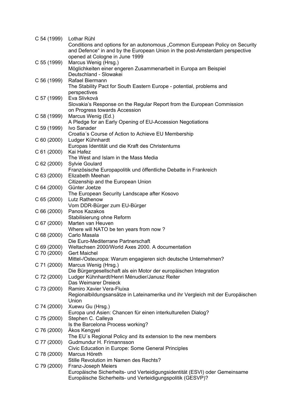| C 54 (1999) Lothar Rühl | Conditions and options for an autonomous "Common European Policy on Security               |
|-------------------------|--------------------------------------------------------------------------------------------|
|                         | and Defence" in and by the European Union in the post-Amsterdam perspective                |
|                         | opened at Cologne in June 1999                                                             |
| C 55 (1999)             | Marcus Wenig (Hrsg.)                                                                       |
|                         | Möglichkeiten einer engeren Zusammenarbeit in Europa am Beispiel<br>Deutschland - Slowakei |
| C 56 (1999)             | Rafael Biermann                                                                            |
|                         | The Stability Pact for South Eastern Europe - potential, problems and                      |
| C 57 (1999)             | perspectives<br>Eva Slivková                                                               |
|                         | Slovakia's Response on the Regular Report from the European Commission                     |
|                         | on Progress towards Accession                                                              |
| C 58 (1999)             | Marcus Wenig (Ed.)<br>A Pledge for an Early Opening of EU-Accession Negotiations           |
| C 59 (1999)             | Ivo Sanader                                                                                |
|                         | Croatia's Course of Action to Achieve EU Membership                                        |
| $C$ 60 (2000)           | Ludger Kühnhardt                                                                           |
| C 61 (2000)             | Europas Identität und die Kraft des Christentums<br>Kai Hafez                              |
|                         | The West and Islam in the Mass Media                                                       |
| $C$ 62 (2000)           | <b>Sylvie Goulard</b>                                                                      |
|                         | Französische Europapolitik und öffentliche Debatte in Frankreich<br>Elizabeth Meehan       |
| $C$ 63 (2000)           | Citizenship and the European Union                                                         |
| $C_64(2000)$            | Günter Joetze                                                                              |
|                         | The European Security Landscape after Kosovo                                               |
| $C$ 65 (2000)           | Lutz Rathenow<br>Vom DDR-Bürger zum EU-Bürger                                              |
| C66(2000)               | Panos Kazakos                                                                              |
|                         | Stabilisierung ohne Reform                                                                 |
| C 67 (2000)             | Marten van Heuven<br>Where will NATO be ten years from now?                                |
| $C$ 68 (2000)           | Carlo Masala                                                                               |
|                         | Die Euro-Mediterrane Partnerschaft                                                         |
| $C$ 69 (2000)           | Weltachsen 2000/World Axes 2000. A documentation                                           |
| $C$ 70 (2000)           | <b>Gert Maichel</b><br>Mittel-/Osteuropa: Warum engagieren sich deutsche Unternehmen?      |
| C 71 (2000)             | Marcus Wenig (Hrsg.)                                                                       |
|                         | Die Bürgergesellschaft als ein Motor der europäischen Integration                          |
| C 72 (2000)             | Ludger Kühnhardt/Henri Ménudier/Janusz Reiter<br>Das Weimarer Dreieck                      |
| C 73 (2000)             | Ramiro Xavier Vera-Fluixa                                                                  |
|                         | Regionalbildungsansätze in Lateinamerika und ihr Vergleich mit der Europäischen            |
|                         | Union                                                                                      |
| C 74 (2000)             | Xuewu Gu (Hrsg.)<br>Europa und Asien: Chancen für einen interkulturellen Dialog?           |
| C 75 (2000)             | Stephen C. Calleya                                                                         |
|                         | Is the Barcelona Process working?                                                          |
| C 76 (2000)             | Àkos Kengyel<br>The EU's Regional Policy and its extension to the new members              |
| C 77 (2000)             | Gudmundur H. Frimannsson                                                                   |
|                         | Civic Education in Europe: Some General Principles                                         |
| C 78 (2000)             | Marcus Höreth                                                                              |
| C 79 (2000)             | Stille Revolution im Namen des Rechts?<br>Franz-Joseph Meiers                              |
|                         | Europäische Sicherheits- und Verteidigungsidentität (ESVI) oder Gemeinsame                 |
|                         | Europäische Sicherheits- und Verteidigungspolitik (GESVP)?                                 |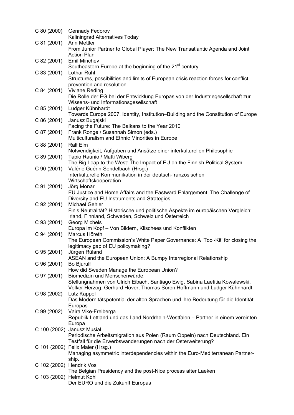| $C$ 80 (2000)            | <b>Gennady Fedorov</b>                                                               |
|--------------------------|--------------------------------------------------------------------------------------|
|                          | Kaliningrad Alternatives Today                                                       |
| C 81 (2001)              | Ann Mettler                                                                          |
|                          | From Junior Partner to Global Player: The New Transatlantic Agenda and Joint         |
|                          | <b>Action Plan</b>                                                                   |
| C 82 (2001)              | <b>Emil Minchev</b>                                                                  |
|                          | Southeastern Europe at the beginning of the 21 <sup>st</sup> century                 |
| $C$ 83 (2001)            | Lothar Rühl                                                                          |
|                          | Structures, possibilities and limits of European crisis reaction forces for conflict |
| C 84 (2001)              | prevention and resolution<br>Viviane Reding                                          |
|                          | Die Rolle der EG bei der Entwicklung Europas von der Industriegesellschaft zur       |
|                          | Wissens- und Informationsgesellschaft                                                |
| $C$ 85 (2001)            | Ludger Kühnhardt                                                                     |
|                          | Towards Europe 2007. Identity, Institution-Building and the Constitution of Europe   |
| C 86 (2001)              | Janusz Bugajski                                                                      |
|                          | Facing the Future: The Balkans to the Year 2010                                      |
| C 87 (2001)              | Frank Ronge / Susannah Simon (eds.)                                                  |
|                          | Multiculturalism and Ethnic Minorities in Europe                                     |
| C 88 (2001)              | <b>Ralf Elm</b>                                                                      |
|                          | Notwendigkeit, Aufgaben und Ansätze einer interkulturellen Philosophie               |
| C 89 (2001)              | Tapio Raunio / Matti Wiberg                                                          |
|                          | The Big Leap to the West: The Impact of EU on the Finnish Political System           |
| $C$ 90 (2001)            | Valérie Guérin-Sendelbach (Hrsg.)                                                    |
|                          | Interkulturelle Kommunikation in der deutsch-französischen                           |
|                          | Wirtschaftskooperation                                                               |
| C 91 (2001)              | Jörg Monar                                                                           |
|                          | EU Justice and Home Affairs and the Eastward Enlargement: The Challenge of           |
|                          | Diversity and EU Instruments and Strategies                                          |
| C 92 (2001)              | <b>Michael Gehler</b>                                                                |
|                          | Finis Neutralität? Historische und politische Aspekte im europäischen Vergleich:     |
|                          | Irland, Finnland, Schweden, Schweiz und Österreich                                   |
| C 93 (2001)              | Georg Michels<br>Europa im Kopf - Von Bildern, Klischees und Konflikten              |
| C 94 (2001)              | Marcus Höreth                                                                        |
|                          | The European Commission's White Paper Governance: A 'Tool-Kit' for closing the       |
|                          | legitimacy gap of EU policymaking?                                                   |
| C 95 (2001)              | Jürgen Rüland                                                                        |
|                          | ASEAN and the European Union: A Bumpy Interregional Relationship                     |
| C 96 (2001)              | Bo Bjurulf                                                                           |
|                          | How did Sweden Manage the European Union?                                            |
| C 97 (2001)              | Biomedizin und Menschenwürde.                                                        |
|                          | Stellungnahmen von Ulrich Eibach, Santiago Ewig, Sabina Laetitia Kowalewski,         |
|                          | Volker Herzog, Gerhard Höver, Thomas Sören Hoffmann und Ludger Kühnhardt             |
| C 98 (2002)              | Lutz Käppel                                                                          |
|                          | Das Modernitätspotential der alten Sprachen und ihre Bedeutung für die Identität     |
|                          | Europas                                                                              |
| C 99 (2002)              | Vaira Vike-Freiberga                                                                 |
|                          | Republik Lettland und das Land Nordrhein-Westfalen - Partner in einem vereinten      |
|                          | Europa<br>C 100 (2002) Janusz Musial                                                 |
|                          | Periodische Arbeitsmigration aus Polen (Raum Oppeln) nach Deutschland. Ein           |
|                          | Testfall für die Erwerbswanderungen nach der Osterweiterung?                         |
|                          | C 101 (2002) Felix Maier (Hrsg.)                                                     |
|                          | Managing asymmetric interdependencies within the Euro-Mediterranean Partner-         |
|                          | ship.                                                                                |
| C 102 (2002) Hendrik Vos |                                                                                      |
|                          | The Belgian Presidency and the post-Nice process after Laeken                        |
| C 103 (2002) Helmut Kohl |                                                                                      |
|                          | Der EURO und die Zukunft Europas                                                     |
|                          |                                                                                      |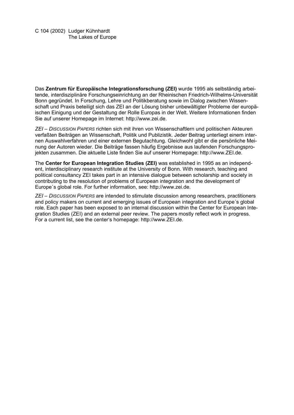Das **Zentrum für Europäische Integrationsforschung (ZEI)** wurde 1995 als selbständig arbeitende, interdisziplinäre Forschungseinrichtung an der Rheinischen Friedrich-Wilhelms-Universität Bonn gegründet. In Forschung, Lehre und Politikberatung sowie im Dialog zwischen Wissenschaft und Praxis beteiligt sich das ZEI an der Lösung bisher unbewältigter Probleme der europäischen Einigung und der Gestaltung der Rolle Europas in der Welt. Weitere Informationen finden Sie auf unserer Homepage im Internet: http://www.zei.de.

*ZEI – DISCUSSION PAPERS* richten sich mit ihren von Wissenschaftlern und politischen Akteuren verfaßten Beiträgen an Wissenschaft, Politik und Publizistik. Jeder Beitrag unterliegt einem internen Auswahlverfahren und einer externen Begutachtung. Gleichwohl gibt er die persönliche Meinung der Autoren wieder. Die Beiträge fassen häufig Ergebnisse aus laufenden Forschungsprojekten zusammen. Die aktuelle Liste finden Sie auf unserer Homepage: http://www.ZEI.de.

The **Center for European Integration Studies (ZEI)** was established in 1995 as an independent, interdisciplinary research institute at the University of Bonn. With research, teaching and political consultancy ZEI takes part in an intensive dialogue between scholarship and society in contributing to the resolution of problems of European integration and the development of Europe´s global role. For further information, see: http://www.zei.de.

*ZEI – DISCUSSION PAPERS* are intended to stimulate discussion among researchers, practitioners and policy makers on current and emerging issues of European integration and Europe´s global role. Each paper has been exposed to an internal discussion within the Center for European Integration Studies (ZEI) and an external peer review. The papers mostly reflect work in progress. For a current list, see the center's homepage: http://www.ZEI.de.